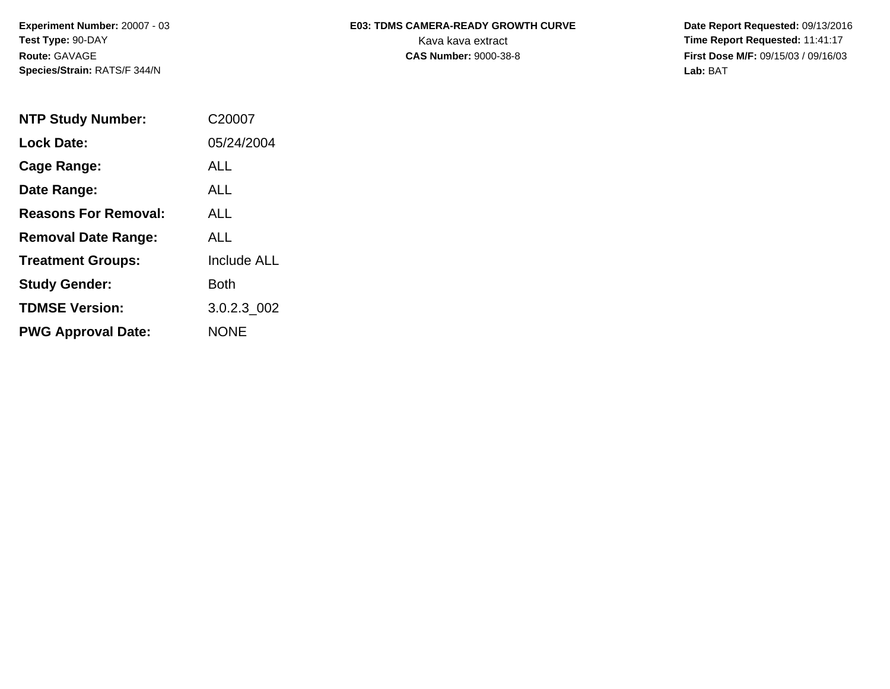**Experiment Number:** 20007 - 03 **Test Type:** 90-DAY **Route:** GAVAGE **Species/Strain:** RATS/F 344/N

## E03: TDMS CAMERA-READY GROWTH CURVE Date Report Requested: 09/13/2016 Kava kava extract **Time Report Requested:** 11:41:17

**CAS Number:** 9000-38-8 **First Dose M/F:** 09/15/03 / 09/16/03 **Lab:** BAT

| <b>NTP Study Number:</b>    | C <sub>2000</sub> 7 |
|-----------------------------|---------------------|
| <b>Lock Date:</b>           | 05/24/2004          |
| Cage Range:                 | ALL                 |
| Date Range:                 | <b>ALL</b>          |
| <b>Reasons For Removal:</b> | <b>ALL</b>          |
| <b>Removal Date Range:</b>  | ALL                 |
| <b>Treatment Groups:</b>    | <b>Include ALL</b>  |
| <b>Study Gender:</b>        | Both                |
| <b>TDMSE Version:</b>       | 3.0.2.3_002         |
| <b>PWG Approval Date:</b>   | <b>NONE</b>         |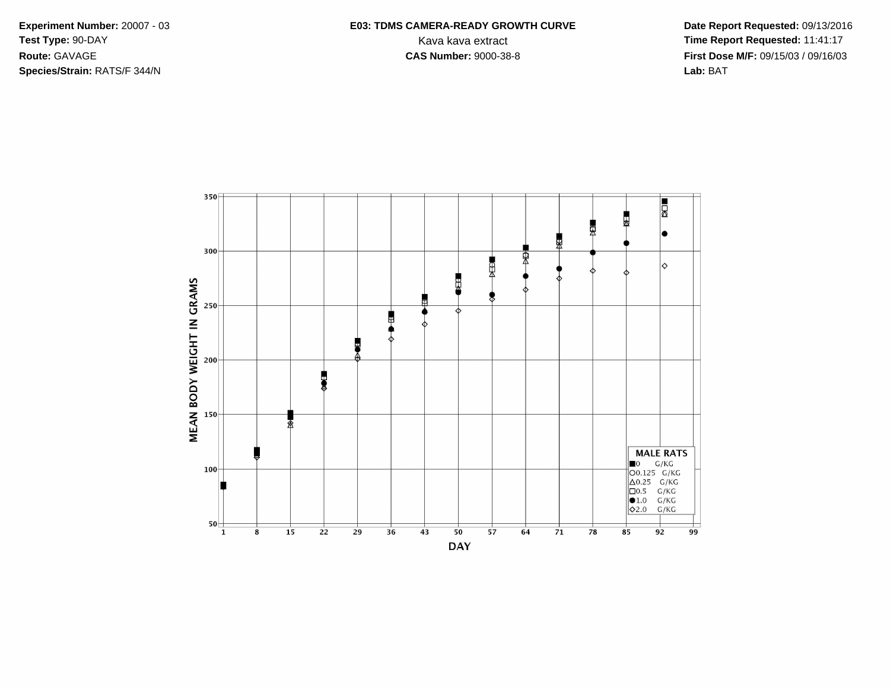**Species/Strain:** RATS/F 344/N **Lab:** BAT